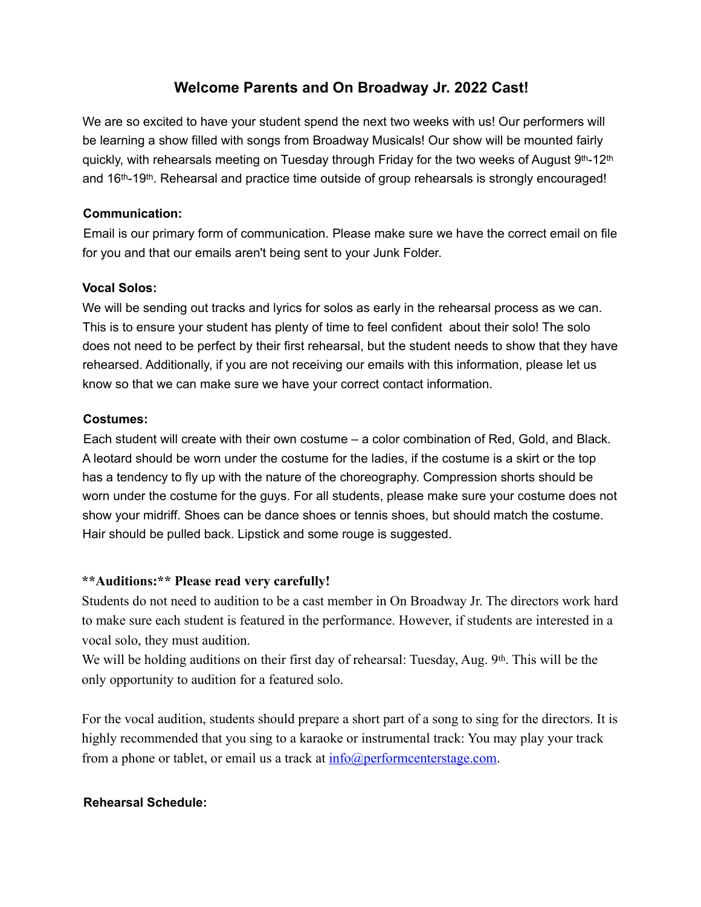# **Welcome Parents and On Broadway Jr. 2022 Cast!**

We are so excited to have your student spend the next two weeks with us! Our performers will be learning a show filled with songs from Broadway Musicals! Our show will be mounted fairly quickly, with rehearsals meeting on Tuesday through Friday for the two weeks of August 9th-12th and 16th-19th. Rehearsal and practice time outside of group rehearsals is strongly encouraged!

## **Communication:**

Email is our primary form of communication. Please make sure we have the correct email on file for you and that our emails aren't being sent to your Junk Folder.

### **Vocal Solos:**

We will be sending out tracks and lyrics for solos as early in the rehearsal process as we can. This is to ensure your student has plenty of time to feel confident about their solo! The solo does not need to be perfect by their first rehearsal, but the student needs to show that they have rehearsed. Additionally, if you are not receiving our emails with this information, please let us know so that we can make sure we have your correct contact information.

### **Costumes:**

Each student will create with their own costume – a color combination of Red, Gold, and Black. A leotard should be worn under the costume for the ladies, if the costume is a skirt or the top has a tendency to fly up with the nature of the choreography. Compression shorts should be worn under the costume for the guys. For all students, please make sure your costume does not show your midriff. Shoes can be dance shoes or tennis shoes, but should match the costume. Hair should be pulled back. Lipstick and some rouge is suggested.

# **\*\*Auditions:\*\* Please read very carefully!**

Students do not need to audition to be a cast member in On Broadway Jr. The directors work hard to make sure each student is featured in the performance. However, if students are interested in a vocal solo, they must audition.

We will be holding auditions on their first day of rehearsal: Tuesday, Aug. 9th. This will be the only opportunity to audition for a featured solo.

For the vocal audition, students should prepare a short part of a song to sing for the directors. It is highly recommended that you sing to a karaoke or instrumental track: You may play your track from a phone or tablet, or email us a track at  $info(\hat{a})$  performcenterstage.com.

#### **Rehearsal Schedule:**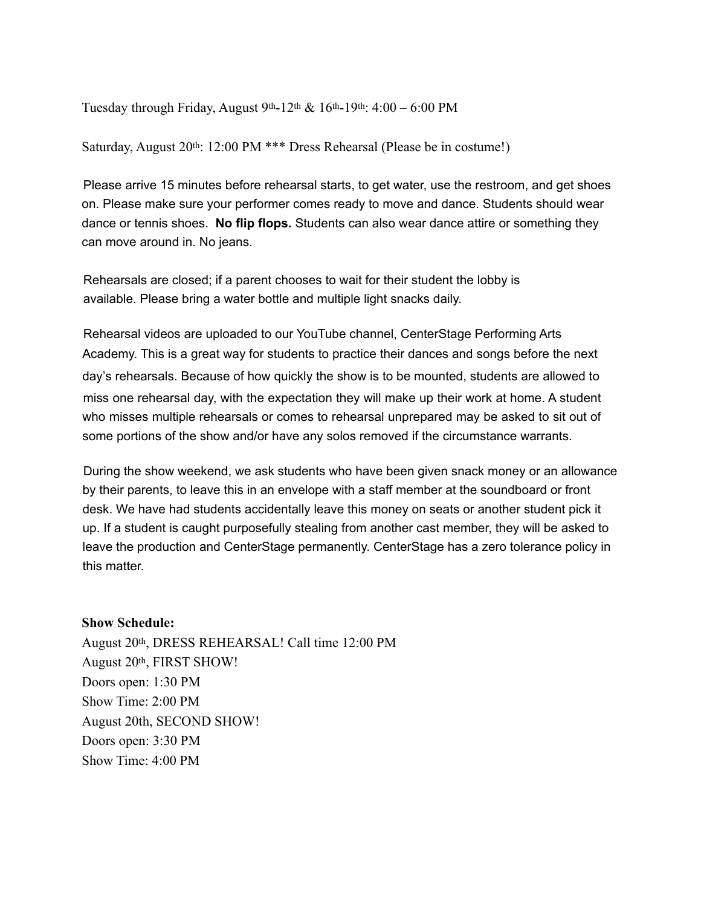Tuesday through Friday, August 9<sup>th</sup>-12<sup>th</sup> & 16<sup>th</sup>-19<sup>th</sup>: 4:00 – 6:00 PM

Saturday, August 20<sup>th</sup>: 12:00 PM \*\*\* Dress Rehearsal (Please be in costume!)

Please arrive 15 minutes before rehearsal starts, to get water, use the restroom, and get shoes on. Please make sure your performer comes ready to move and dance. Students should wear dance or tennis shoes. **No flip flops.** Students can also wear dance attire or something they can move around in. No jeans.

Rehearsals are closed; if a parent chooses to wait for their student the lobby is available. Please bring a water bottle and multiple light snacks daily.

Rehearsal videos are uploaded to our YouTube channel, CenterStage Performing Arts Academy. This is a great way for students to practice their dances and songs before the next day's rehearsals. Because of how quickly the show is to be mounted, students are allowed to miss one rehearsal day, with the expectation they will make up their work at home. A student who misses multiple rehearsals or comes to rehearsal unprepared may be asked to sit out of some portions of the show and/or have any solos removed if the circumstance warrants.

During the show weekend, we ask students who have been given snack money or an allowance by their parents, to leave this in an envelope with a staff member at the soundboard or front desk. We have had students accidentally leave this money on seats or another student pick it up. If a student is caught purposefully stealing from another cast member, they will be asked to leave the production and CenterStage permanently. CenterStage has a zero tolerance policy in this matter.

#### **Show Schedule:**

August 20th, DRESS REHEARSAL! Call time 12:00 PM August 20th, FIRST SHOW! Doors open: 1:30 PM Show Time: 2:00 PM August 20th, SECOND SHOW! Doors open: 3:30 PM Show Time: 4:00 PM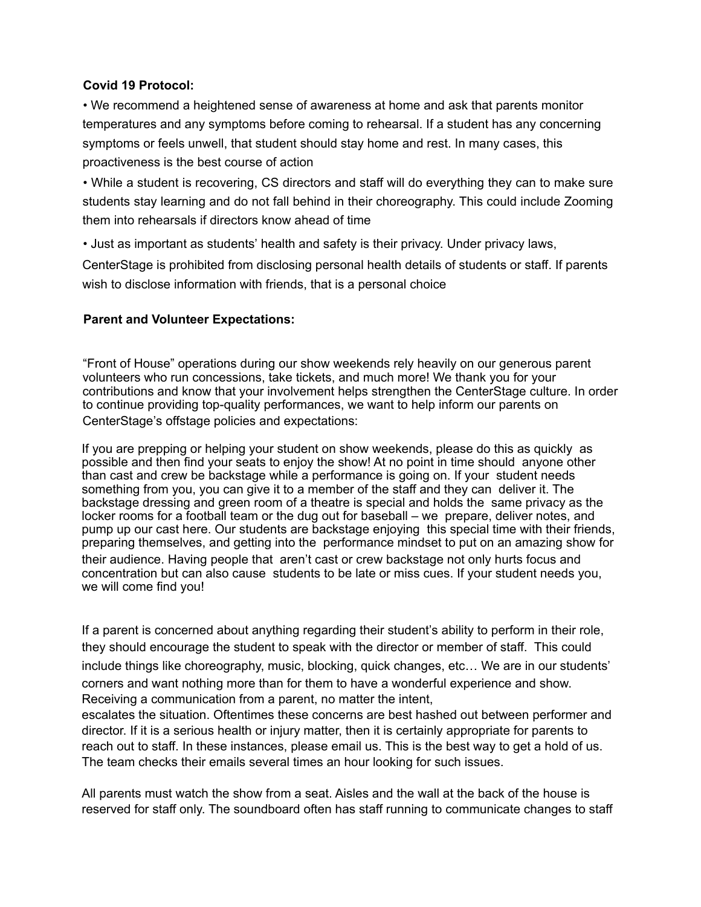### **Covid 19 Protocol:**

• We recommend a heightened sense of awareness at home and ask that parents monitor temperatures and any symptoms before coming to rehearsal. If a student has any concerning symptoms or feels unwell, that student should stay home and rest. In many cases, this proactiveness is the best course of action

• While a student is recovering, CS directors and staff will do everything they can to make sure students stay learning and do not fall behind in their choreography. This could include Zooming them into rehearsals if directors know ahead of time

• Just as important as students' health and safety is their privacy. Under privacy laws,

CenterStage is prohibited from disclosing personal health details of students or staff. If parents wish to disclose information with friends, that is a personal choice

### **Parent and Volunteer Expectations:**

#Front of House" operations during our show weekends rely heavily on our generous parent volunteers who run concessions, take tickets, and much more! We thank you for your contributions and know that your involvement helps strengthen the CenterStage culture. In order to continue providing top-quality performances, we want to help inform our parents on CenterStage's offstage policies and expectations:

If you are prepping or helping your student on show weekends, please do this as quickly as possible and then find your seats to enjoy the show! At no point in time should anyone other than cast and crew be backstage while a performance is going on. If your student needs something from you, you can give it to a member of the staff and they can deliver it. The backstage dressing and green room of a theatre is special and holds the same privacy as the locker rooms for a football team or the dug out for baseball – we prepare, deliver notes, and pump up our cast here. Our students are backstage enjoying this special time with their friends, preparing themselves, and getting into the performance mindset to put on an amazing show for their audience. Having people that aren't cast or crew backstage not only hurts focus and concentration but can also cause students to be late or miss cues. If your student needs you, we will come find you!

If a parent is concerned about anything regarding their student's ability to perform in their role, they should encourage the student to speak with the director or member of staff. This could include things like choreography, music, blocking, quick changes, etc... We are in our students' corners and want nothing more than for them to have a wonderful experience and show. Receiving a communication from a parent, no matter the intent,

escalates the situation. Oftentimes these concerns are best hashed out between performer and director. If it is a serious health or injury matter, then it is certainly appropriate for parents to reach out to staff. In these instances, please email us. This is the best way to get a hold of us. The team checks their emails several times an hour looking for such issues.

All parents must watch the show from a seat. Aisles and the wall at the back of the house is reserved for staff only. The soundboard often has staff running to communicate changes to staff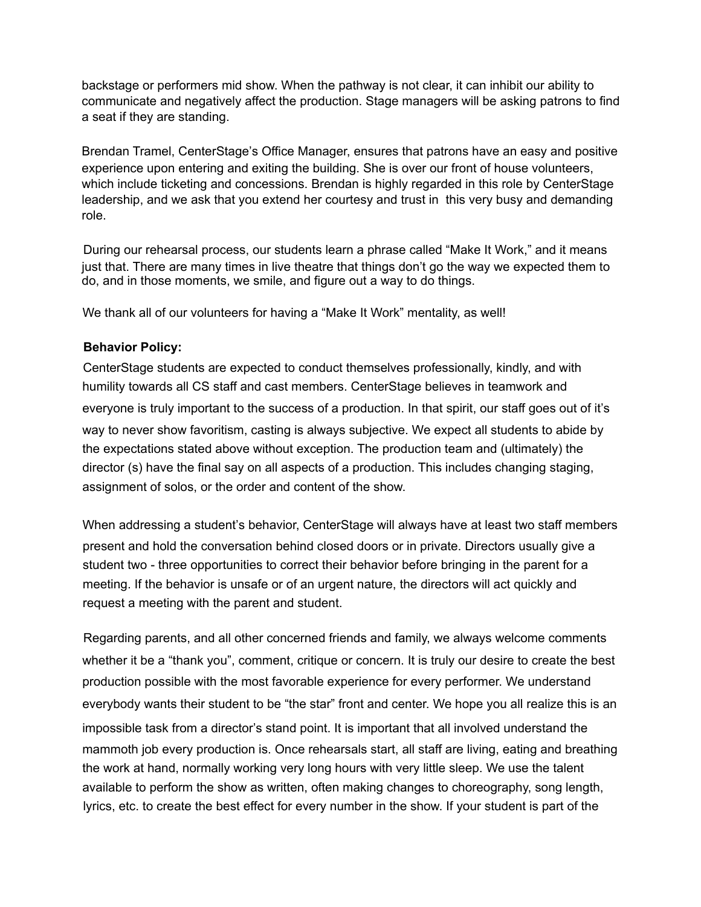backstage or performers mid show. When the pathway is not clear, it can inhibit our ability to communicate and negatively affect the production. Stage managers will be asking patrons to find a seat if they are standing.

Brendan Tramel, CenterStage's Office Manager, ensures that patrons have an easy and positive experience upon entering and exiting the building. She is over our front of house volunteers, which include ticketing and concessions. Brendan is highly regarded in this role by CenterStage leadership, and we ask that you extend her courtesy and trust in this very busy and demanding role.

During our rehearsal process, our students learn a phrase called "Make It Work," and it means just that. There are many times in live theatre that things don't go the way we expected them to do, and in those moments, we smile, and figure out a way to do things.

We thank all of our volunteers for having a "Make It Work" mentality, as well!

#### **Behavior Policy:**

CenterStage students are expected to conduct themselves professionally, kindly, and with humility towards all CS staff and cast members. CenterStage believes in teamwork and everyone is truly important to the success of a production. In that spirit, our staff goes out of it's way to never show favoritism, casting is always subjective. We expect all students to abide by the expectations stated above without exception. The production team and (ultimately) the director (s) have the final say on all aspects of a production. This includes changing staging, assignment of solos, or the order and content of the show.

When addressing a student's behavior, CenterStage will always have at least two staff members present and hold the conversation behind closed doors or in private. Directors usually give a student two - three opportunities to correct their behavior before bringing in the parent for a meeting. If the behavior is unsafe or of an urgent nature, the directors will act quickly and request a meeting with the parent and student.

Regarding parents, and all other concerned friends and family, we always welcome comments whether it be a "thank you", comment, critique or concern. It is truly our desire to create the best production possible with the most favorable experience for every performer. We understand everybody wants their student to be "the star" front and center. We hope you all realize this is an impossible task from a director's stand point. It is important that all involved understand the mammoth job every production is. Once rehearsals start, all staff are living, eating and breathing the work at hand, normally working very long hours with very little sleep. We use the talent available to perform the show as written, often making changes to choreography, song length, lyrics, etc. to create the best effect for every number in the show. If your student is part of the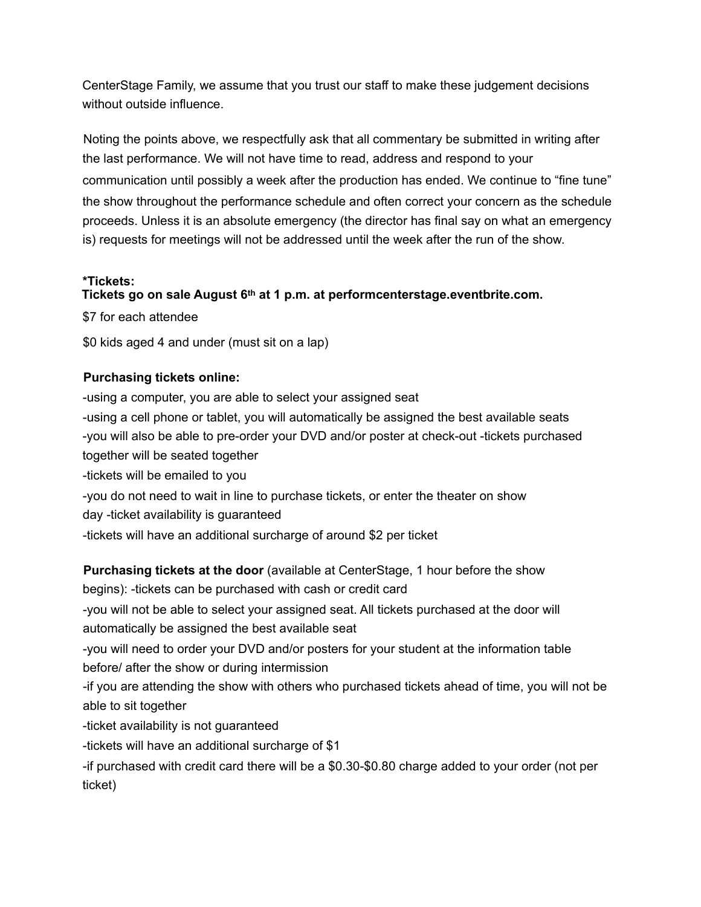CenterStage Family, we assume that you trust our staff to make these judgement decisions without outside influence.

Noting the points above, we respectfully ask that all commentary be submitted in writing after the last performance. We will not have time to read, address and respond to your communication until possibly a week after the production has ended. We continue to "fine tune" the show throughout the performance schedule and often correct your concern as the schedule proceeds. Unless it is an absolute emergency (the director has final say on what an emergency is) requests for meetings will not be addressed until the week after the run of the show.

### **\*Tickets:**

### **Tickets go on sale August 6th at 1 p.m. at performcenterstage.eventbrite.com.**

\$7 for each attendee

\$0 kids aged 4 and under (must sit on a lap)

### **Purchasing tickets online:**

-using a computer, you are able to select your assigned seat -using a cell phone or tablet, you will automatically be assigned the best available seats -you will also be able to pre-order your DVD and/or poster at check-out -tickets purchased together will be seated together

-tickets will be emailed to you

-you do not need to wait in line to purchase tickets, or enter the theater on show

day -ticket availability is guaranteed

-tickets will have an additional surcharge of around \$2 per ticket

**Purchasing tickets at the door** (available at CenterStage, 1 hour before the show begins): -tickets can be purchased with cash or credit card -you will not be able to select your assigned seat. All tickets purchased at the door will automatically be assigned the best available seat -you will need to order your DVD and/or posters for your student at the information table before/ after the show or during intermission -if you are attending the show with others who purchased tickets ahead of time, you will not be able to sit together -ticket availability is not guaranteed -tickets will have an additional surcharge of \$1 -if purchased with credit card there will be a \$0.30-\$0.80 charge added to your order (not per

ticket)